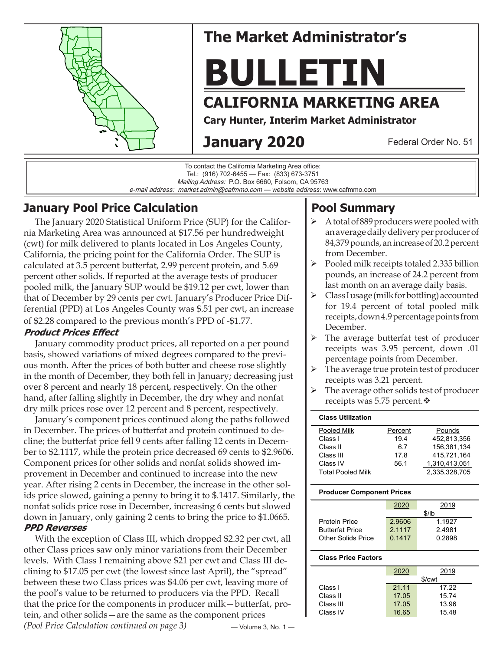

# **The Market Administrator's**

# **BULLETIN**

# **CALIFORNIA MARKETING AREA**

**Cary Hunter, Interim Market Administrator**

# **January 2020**

Federal Order No. 51

To contact the California Marketing Area office: Tel.: (916) 702-6455 — Fax: (833) 673-3751 Mailing Address: P.O. Box 6660, Folsom, CA 95763 e-mail address: market.admin@cafmmo.com — *website address*: www.cafmmo.com

## **January Pool Price Calculation**

 The January 2020 Statistical Uniform Price (SUP) for the California Marketing Area was announced at \$17.56 per hundredweight (cwt) for milk delivered to plants located in Los Angeles County, California, the pricing point for the California Order. The SUP is calculated at 3.5 percent butterfat, 2.99 percent protein, and 5.69 percent other solids. If reported at the average tests of producer pooled milk, the January SUP would be \$19.12 per cwt, lower than that of December by 29 cents per cwt. January's Producer Price Differential (PPD) at Los Angeles County was \$.51 per cwt, an increase of \$2.28 compared to the previous month's PPD of -\$1.77.

#### **Product Prices Effect**

 January commodity product prices, all reported on a per pound basis, showed variations of mixed degrees compared to the previous month. After the prices of both butter and cheese rose slightly in the month of December, they both fell in January; decreasing just over 8 percent and nearly 18 percent, respectively. On the other hand, after falling slightly in December, the dry whey and nonfat dry milk prices rose over 12 percent and 8 percent, respectively.

 January's component prices continued along the paths followed in December. The prices of butterfat and protein continued to decline; the butterfat price fell 9 cents after falling 12 cents in December to \$2.1117, while the protein price decreased 69 cents to \$2.9606. Component prices for other solids and nonfat solids showed improvement in December and continued to increase into the new year. After rising 2 cents in December, the increase in the other solids price slowed, gaining a penny to bring it to \$.1417. Similarly, the nonfat solids price rose in December, increasing 6 cents but slowed down in January, only gaining 2 cents to bring the price to \$1.0665. **PPD Reverses** 

— Volume 3, No. 1 — With the exception of Class III, which dropped \$2.32 per cwt, all other Class prices saw only minor variations from their December levels. With Class I remaining above \$21 per cwt and Class III declining to \$17.05 per cwt (the lowest since last April), the "spread" between these two Class prices was \$4.06 per cwt, leaving more of the pool's value to be returned to producers via the PPD. Recall that the price for the components in producer milk—butterfat, protein, and other solids—are the same as the component prices *(Pool Price Calculation continued on page 3)*

# **Pool Summary**

- A total of 889 producers were pooled with an average daily delivery per producer of 84,379 pounds, an increase of 20.2 percent from December.
- $\triangleright$  Pooled milk receipts totaled 2.335 billion pounds, an increase of 24.2 percent from last month on an average daily basis.
- $\triangleright$  Class I usage (milk for bottling) accounted for 19.4 percent of total pooled milk receipts, down 4.9 percentage points from December.
- The average butterfat test of producer receipts was 3.95 percent, down .01 percentage points from December.
- $\triangleright$  The average true protein test of producer receipts was 3.21 percent.
- $\triangleright$  The average other solids test of producer receipts was 5.75 percent. $\mathbf{\hat{v}}$

| <b>Class Utilization</b> |         |               |
|--------------------------|---------|---------------|
| Pooled Milk              | Percent | Pounds        |
| Class L                  | 194     | 452.813.356   |
| Class II                 | 6.7     | 156.381.134   |
| Class III                | 17.8    | 415.721.164   |
| Class IV                 | 56.1    | 1,310,413,051 |
| <b>Total Pooled Milk</b> |         | 2.335.328.705 |

#### **Producer Component Prices**

|                        | 2020   | 2019   |  |  |  |
|------------------------|--------|--------|--|--|--|
|                        | \$/lb  |        |  |  |  |
| Protein Price          | 2.9606 | 1.1927 |  |  |  |
| <b>Butterfat Price</b> | 2.1117 | 24981  |  |  |  |
| Other Solids Price     | 0.1417 | 0.2898 |  |  |  |
|                        |        |        |  |  |  |

#### **Class Price Factors**

|           | 2020   | 2019  |  |  |  |
|-----------|--------|-------|--|--|--|
|           | \$/cwt |       |  |  |  |
| Class I   | 21.11  | 17.22 |  |  |  |
| Class II  | 17.05  | 15.74 |  |  |  |
| Class III | 17.05  | 13.96 |  |  |  |
| Class IV  | 16.65  | 15.48 |  |  |  |
|           |        |       |  |  |  |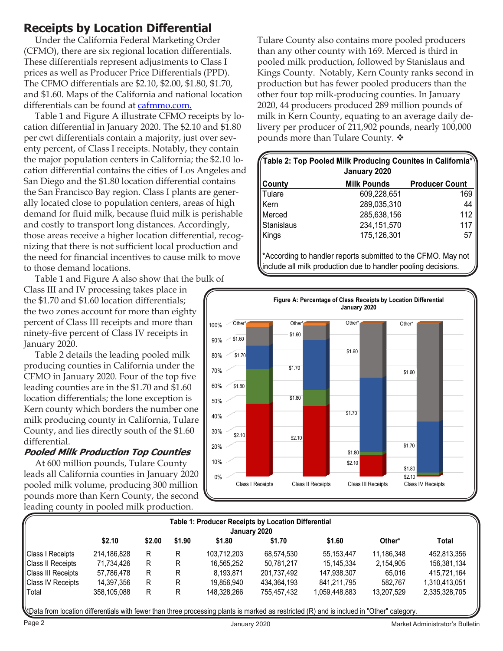## **Receipts by Location Differential**

 Under the California Federal Marketing Order (CFMO), there are six regional location differentials. These differentials represent adjustments to Class I prices as well as Producer Price Differentials (PPD). The CFMO differentials are \$2.10, \$2.00, \$1.80, \$1.70, and \$1.60. Maps of the California and national location differentials can be found at cafmmo.com.

 Table 1 and Figure A illustrate CFMO receipts by location differential in January 2020. The \$2.10 and \$1.80 per cwt differentials contain a majority, just over seventy percent, of Class I receipts. Notably, they contain the major population centers in California; the \$2.10 location differential contains the cities of Los Angeles and San Diego and the \$1.80 location differential contains the San Francisco Bay region. Class I plants are generally located close to population centers, areas of high demand for fluid milk, because fluid milk is perishable and costly to transport long distances. Accordingly, those areas receive a higher location differential, recognizing that there is not sufficient local production and the need for financial incentives to cause milk to move to those demand locations.

Table 1 and Figure A also show that the bulk of

Class III and IV processing takes place in the \$1.70 and \$1.60 location differentials; the two zones account for more than eighty percent of Class III receipts and more than ninety-five percent of Class IV receipts in January 2020.

 Table 2 details the leading pooled milk producing counties in California under the CFMO in January 2020. Four of the top five leading counties are in the \$1.70 and \$1.60 location differentials; the lone exception is Kern county which borders the number one milk producing county in California, Tulare County, and lies directly south of the \$1.60 differential.

#### **Pooled Milk Production Top Counties**

 At 600 million pounds, Tulare County leads all California counties in January 2020 pooled milk volume, producing 300 million pounds more than Kern County, the second leading county in pooled milk production.

Tulare County also contains more pooled producers than any other county with 169. Merced is third in pooled milk production, followed by Stanislaus and Kings County. Notably, Kern County ranks second in production but has fewer pooled producers than the other four top milk-producing counties. In January 2020, 44 producers produced 289 million pounds of milk in Kern County, equating to an average daily delivery per producer of 211,902 pounds, nearly 100,000 pounds more than Tulare County.  $\mathbf{\hat{v}}$ 

| $\!\!$ Table 2: Top Pooled Milk Producing Counites in California $^*$ $\!\!$<br>January 2020 |                    |                       |  |  |  |
|----------------------------------------------------------------------------------------------|--------------------|-----------------------|--|--|--|
| County                                                                                       | <b>Milk Pounds</b> | <b>Producer Count</b> |  |  |  |
| Tulare                                                                                       | 609,228,651        | 169                   |  |  |  |
| Kern                                                                                         | 289,035,310        | 44                    |  |  |  |
| Merced                                                                                       | 285,638,156        | 112                   |  |  |  |
| Stanislaus                                                                                   | 234, 151, 570      | 117                   |  |  |  |
| Kings                                                                                        | 175,126,301        | 57                    |  |  |  |

\*According to handler reports submitted to the CFMO. May not include all milk production due to handler pooling decisions.



| Table 1: Producer Receipts by Location Differential<br>January 2020 |             |        |        |             |             |               |            |               |
|---------------------------------------------------------------------|-------------|--------|--------|-------------|-------------|---------------|------------|---------------|
|                                                                     | \$2.10      | \$2.00 | \$1.90 | \$1.80      | \$1.70      | \$1.60        | Other*     | Total         |
| Class I Receipts                                                    | 214,186,828 | R      | R      | 103.712.203 | 68.574.530  | 55.153.447    | 11.186.348 | 452.813.356   |
| Class II Receipts                                                   | 71.734.426  | R      | R      | 16.565.252  | 50.781.217  | 15.145.334    | 2.154.905  | 156,381,134   |
| Class III Receipts                                                  | 57,786,478  | R      | R      | 8.193.871   | 201,737,492 | 147,938,307   | 65.016     | 415.721.164   |
| Class IV Receipts                                                   | 14,397,356  | R      | R      | 19,856,940  | 434,364,193 | 841.211.795   | 582.767    | 1,310,413,051 |
| Total                                                               | 358,105,088 | R      | R      | 148.328.266 | 755.457.432 | 1,059,448,883 | 13,207,529 | 2,335,328,705 |

\*Data from location differentials with fewer than three processing plants is marked as restricted (R) and is inclued in "Other" category.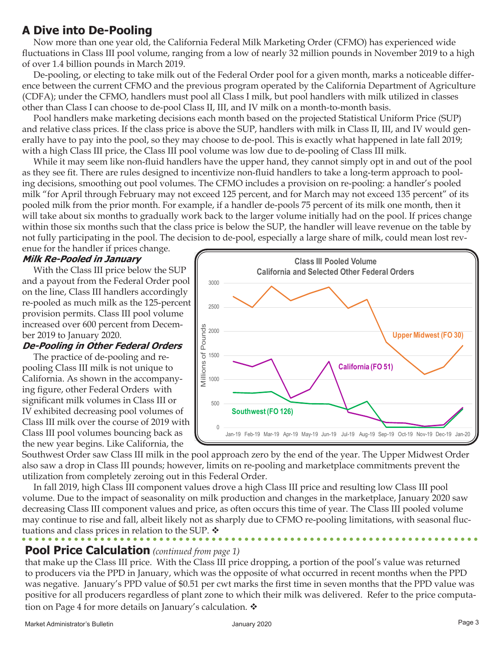## **A Dive into De-Pooling**

 Now more than one year old, the California Federal Milk Marketing Order (CFMO) has experienced wide fluctuations in Class III pool volume, ranging from a low of nearly 32 million pounds in November 2019 to a high of over 1.4 billion pounds in March 2019.

 De-pooling, or electing to take milk out of the Federal Order pool for a given month, marks a noticeable difference between the current CFMO and the previous program operated by the California Department of Agriculture (CDFA); under the CFMO, handlers must pool all Class I milk, but pool handlers with milk utilized in classes other than Class I can choose to de-pool Class II, III, and IV milk on a month-to-month basis.

 Pool handlers make marketing decisions each month based on the projected Statistical Uniform Price (SUP) and relative class prices. If the class price is above the SUP, handlers with milk in Class II, III, and IV would generally have to pay into the pool, so they may choose to de-pool. This is exactly what happened in late fall 2019; with a high Class III price, the Class III pool volume was low due to de-pooling of Class III milk.

 While it may seem like non-fluid handlers have the upper hand, they cannot simply opt in and out of the pool as they see fit. There are rules designed to incentivize non-fluid handlers to take a long-term approach to pooling decisions, smoothing out pool volumes. The CFMO includes a provision on re-pooling: a handler's pooled milk "for April through February may not exceed 125 percent, and for March may not exceed 135 percent" of its pooled milk from the prior month. For example, if a handler de-pools 75 percent of its milk one month, then it will take about six months to gradually work back to the larger volume initially had on the pool. If prices change within those six months such that the class price is below the SUP, the handler will leave revenue on the table by not fully participating in the pool. The decision to de-pool, especially a large share of milk, could mean lost rev-

enue for the handler if prices change.

#### **Milk Re-Pooled in January**

 With the Class III price below the SUP and a payout from the Federal Order pool on the line, Class III handlers accordingly re-pooled as much milk as the 125-percent provision permits. Class III pool volume increased over 600 percent from December 2019 to January 2020.

#### **De-Pooling in Other Federal Orders**

 The practice of de-pooling and repooling Class III milk is not unique to California. As shown in the accompanying figure, other Federal Orders with significant milk volumes in Class III or IV exhibited decreasing pool volumes of Class III milk over the course of 2019 with Class III pool volumes bouncing back as the new year begins. Like California, the



Southwest Order saw Class III milk in the pool approach zero by the end of the year. The Upper Midwest Order also saw a drop in Class III pounds; however, limits on re-pooling and marketplace commitments prevent the utilization from completely zeroing out in this Federal Order.

 In fall 2019, high Class III component values drove a high Class III price and resulting low Class III pool volume. Due to the impact of seasonality on milk production and changes in the marketplace, January 2020 saw decreasing Class III component values and price, as often occurs this time of year. The Class III pooled volume may continue to rise and fall, albeit likely not as sharply due to CFMO re-pooling limitations, with seasonal fluctuations and class prices in relation to the SUP.  $\mathbf{\hat{v}}$ 

### **Pool Price Calculation** *(continued from page 1)*

that make up the Class III price. With the Class III price dropping, a portion of the pool's value was returned to producers via the PPD in January, which was the opposite of what occurred in recent months when the PPD was negative. January's PPD value of \$0.51 per cwt marks the first time in seven months that the PPD value was positive for all producers regardless of plant zone to which their milk was delivered. Refer to the price computation on Page 4 for more details on January's calculation.  $\mathbf{\hat{v}}$